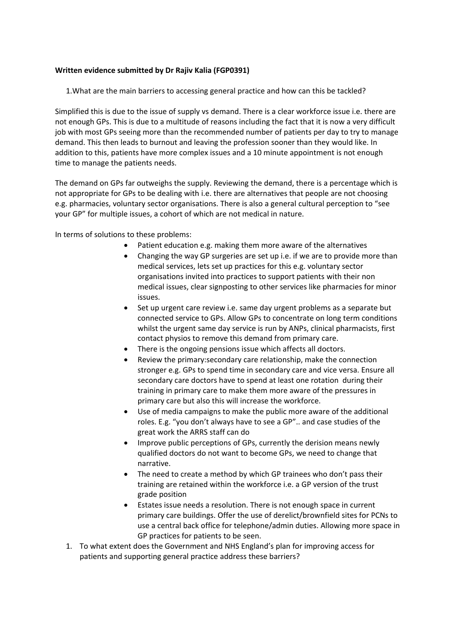## **Written evidence submitted by Dr Rajiv Kalia (FGP0391)**

1.What are the main barriers to accessing general practice and how can this be tackled?

Simplified this is due to the issue of supply vs demand. There is a clear workforce issue i.e. there are not enough GPs. This is due to a multitude of reasons including the fact that it is now a very difficult job with most GPs seeing more than the recommended number of patients per day to try to manage demand. This then leads to burnout and leaving the profession sooner than they would like. In addition to this, patients have more complex issues and a 10 minute appointment is not enough time to manage the patients needs.

The demand on GPs far outweighs the supply. Reviewing the demand, there is a percentage which is not appropriate for GPs to be dealing with i.e. there are alternatives that people are not choosing e.g. pharmacies, voluntary sector organisations. There is also a general cultural perception to "see your GP" for multiple issues, a cohort of which are not medical in nature.

In terms of solutions to these problems:

- Patient education e.g. making them more aware of the alternatives
- Changing the way GP surgeries are set up i.e. if we are to provide more than medical services, lets set up practices for this e.g. voluntary sector organisations invited into practices to support patients with their non medical issues, clear signposting to other services like pharmacies for minor issues.
- Set up urgent care review i.e. same day urgent problems as a separate but connected service to GPs. Allow GPs to concentrate on long term conditions whilst the urgent same day service is run by ANPs, clinical pharmacists, first contact physios to remove this demand from primary care.
- There is the ongoing pensions issue which affects all doctors.
- Review the primary:secondary care relationship, make the connection stronger e.g. GPs to spend time in secondary care and vice versa. Ensure all secondary care doctors have to spend at least one rotation during their training in primary care to make them more aware of the pressures in primary care but also this will increase the workforce.
- Use of media campaigns to make the public more aware of the additional roles. E.g. "you don't always have to see a GP".. and case studies of the great work the ARRS staff can do
- Improve public perceptions of GPs, currently the derision means newly qualified doctors do not want to become GPs, we need to change that narrative.
- The need to create a method by which GP trainees who don't pass their training are retained within the workforce i.e. a GP version of the trust grade position
- Estates issue needs a resolution. There is not enough space in current primary care buildings. Offer the use of derelict/brownfield sites for PCNs to use a central back office for telephone/admin duties. Allowing more space in GP practices for patients to be seen.
- 1. To what extent does the Government and NHS England's plan for improving access for patients and supporting general practice address these barriers?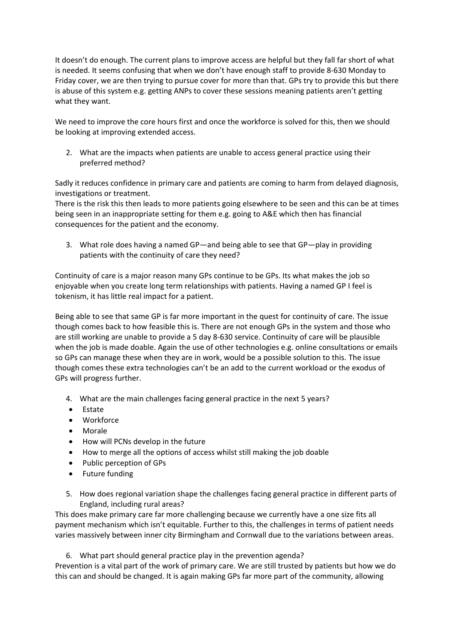It doesn't do enough. The current plans to improve access are helpful but they fall far short of what is needed. It seems confusing that when we don't have enough staff to provide 8-630 Monday to Friday cover, we are then trying to pursue cover for more than that. GPs try to provide this but there is abuse of this system e.g. getting ANPs to cover these sessions meaning patients aren't getting what they want.

We need to improve the core hours first and once the workforce is solved for this, then we should be looking at improving extended access.

2. What are the impacts when patients are unable to access general practice using their preferred method?

Sadly it reduces confidence in primary care and patients are coming to harm from delayed diagnosis, investigations or treatment.

There is the risk this then leads to more patients going elsewhere to be seen and this can be at times being seen in an inappropriate setting for them e.g. going to A&E which then has financial consequences for the patient and the economy.

3. What role does having a named GP—and being able to see that GP—play in providing patients with the continuity of care they need?

Continuity of care is a major reason many GPs continue to be GPs. Its what makes the job so enjoyable when you create long term relationships with patients. Having a named GP I feel is tokenism, it has little real impact for a patient.

Being able to see that same GP is far more important in the quest for continuity of care. The issue though comes back to how feasible this is. There are not enough GPs in the system and those who are still working are unable to provide a 5 day 8-630 service. Continuity of care will be plausible when the job is made doable. Again the use of other technologies e.g. online consultations or emails so GPs can manage these when they are in work, would be a possible solution to this. The issue though comes these extra technologies can't be an add to the current workload or the exodus of GPs will progress further.

- 4. What are the main challenges facing general practice in the next 5 years?
- Estate
- Workforce
- Morale
- How will PCNs develop in the future
- How to merge all the options of access whilst still making the job doable
- Public perception of GPs
- Future funding
- 5. How does regional variation shape the challenges facing general practice in different parts of England, including rural areas?

This does make primary care far more challenging because we currently have a one size fits all payment mechanism which isn't equitable. Further to this, the challenges in terms of patient needs varies massively between inner city Birmingham and Cornwall due to the variations between areas.

6. What part should general practice play in the prevention agenda?

Prevention is a vital part of the work of primary care. We are still trusted by patients but how we do this can and should be changed. It is again making GPs far more part of the community, allowing